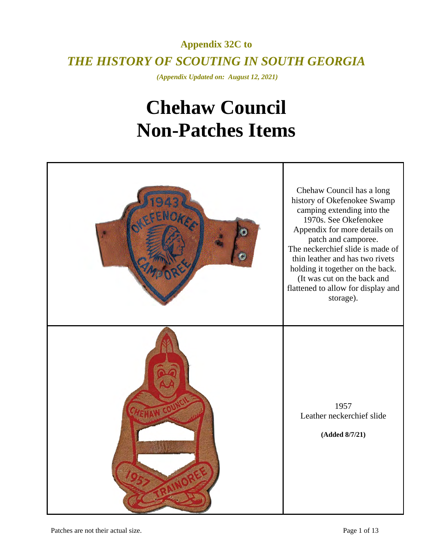## **Appendix 32C to**  *THE HISTORY OF SCOUTING IN SOUTH GEORGIA*

 *(Appendix Updated on: August 12, 2021)* 

## **Chehaw Council Non-Patches Items**

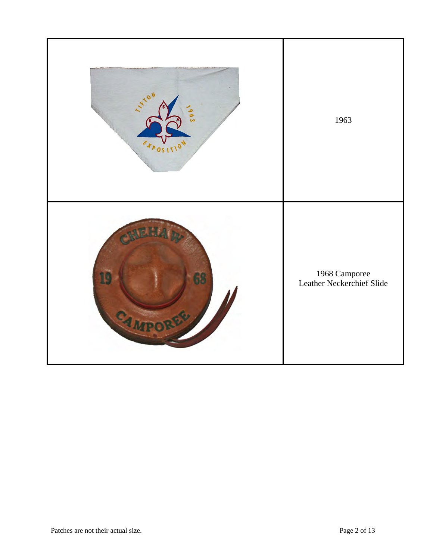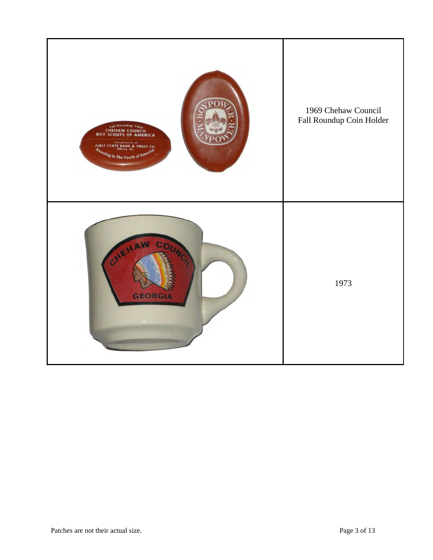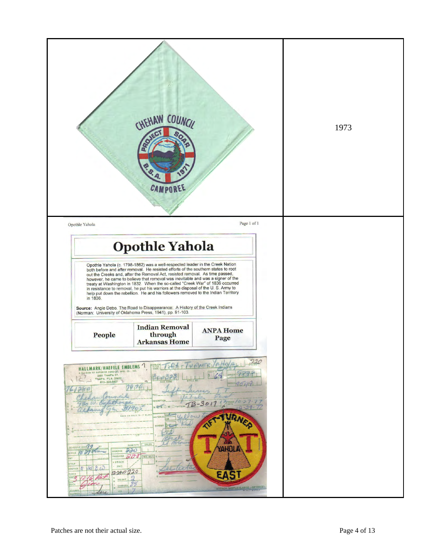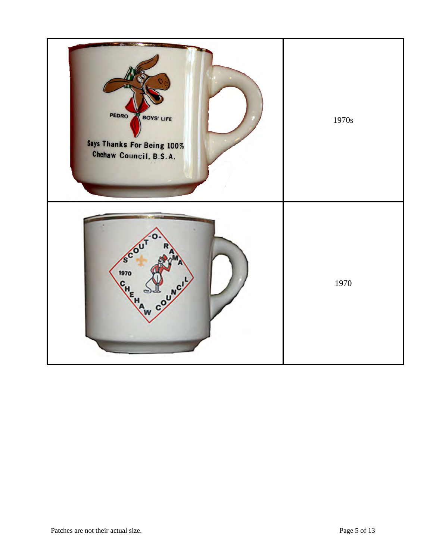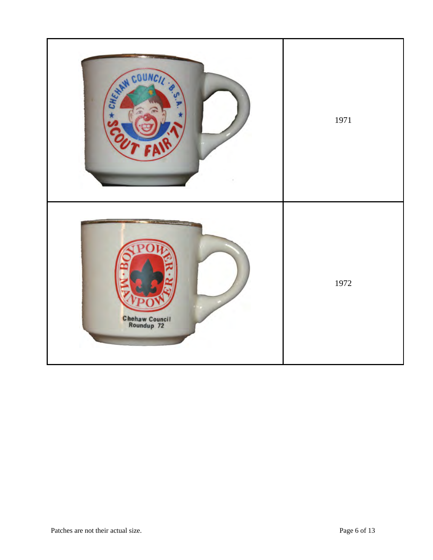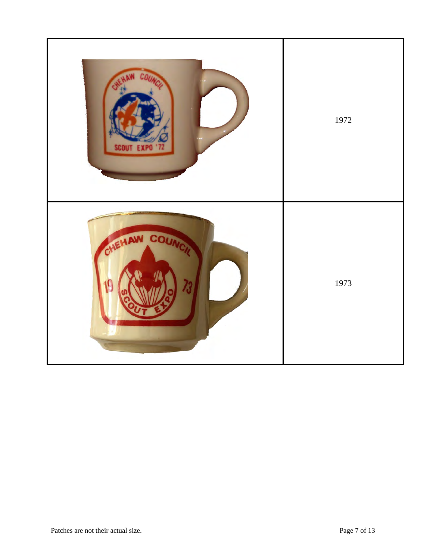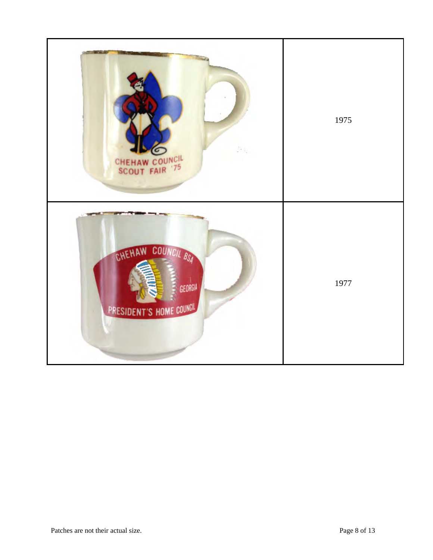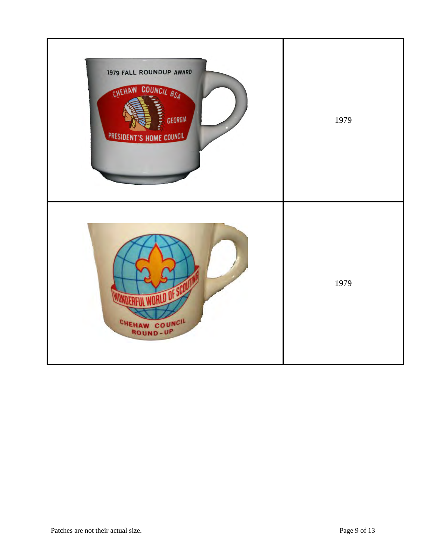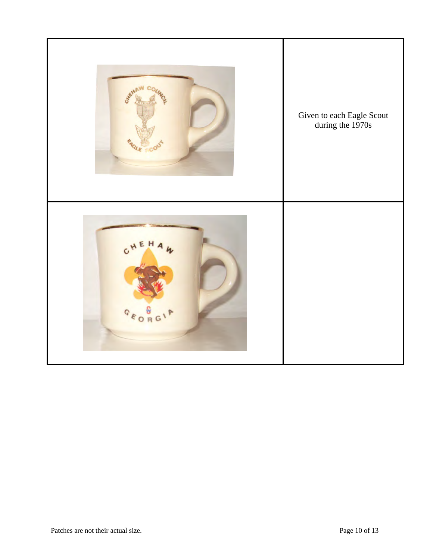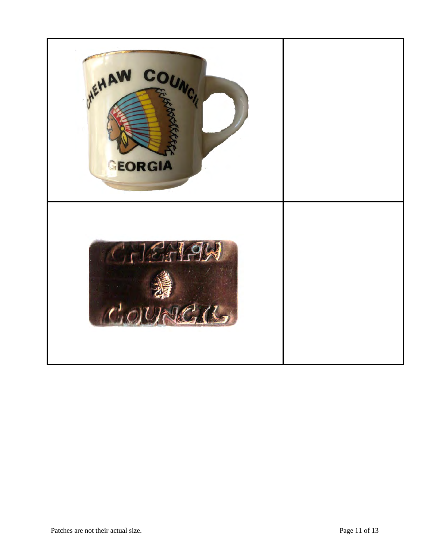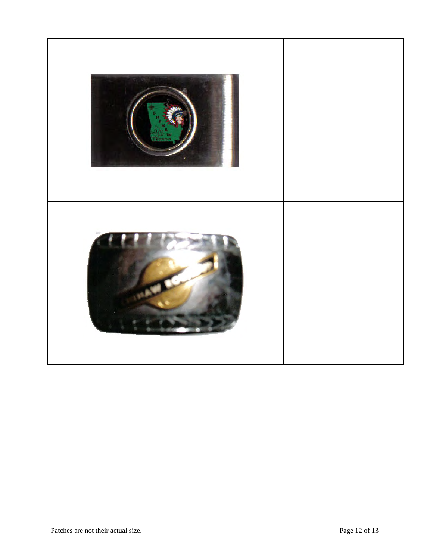